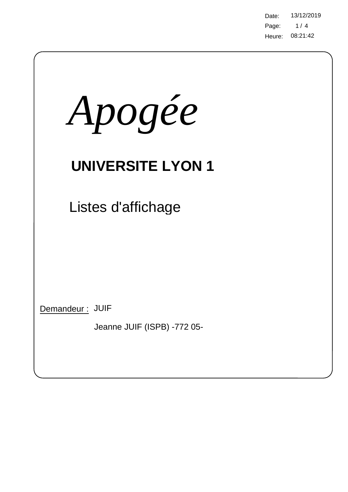Page: 08:21:42 Heure: Date: 13/12/2019  $1/4$ 

| Apogée                                         |
|------------------------------------------------|
| <b>UNIVERSITE LYON 1</b>                       |
| Listes d'affichage                             |
|                                                |
|                                                |
| Demandeur: JUIF<br>Jeanne JUIF (ISPB) -772 05- |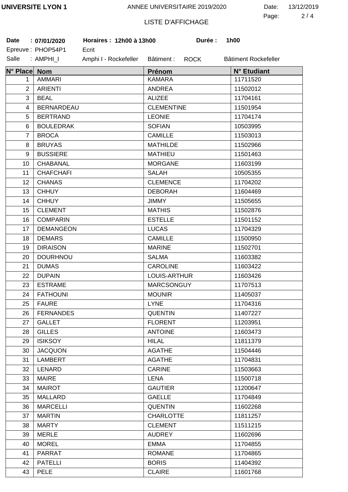#### ANNEE UNIVERSITAIRE 2019/2020

| Date: | 13/12/2019 |
|-------|------------|
| Page: | 2/4        |

## LISTE D'AFFICHAGE

| Date           | : 07/01/2020      | Horaires: 12h00 à 13h00 | Durée :                   | 1h00                 |
|----------------|-------------------|-------------------------|---------------------------|----------------------|
|                | Epreuve: PHOP54P1 | Ecrit                   |                           |                      |
| Salle          | : AMPHI_I         | Amphi I - Rockefeller   | Bâtiment :<br><b>ROCK</b> | Bâtiment Rockefeller |
| N° Place Nom   |                   |                         | Prénom                    | N° Etudiant          |
| 1              | <b>AMMARI</b>     |                         | <b>KAMARA</b>             | 11711520             |
| $\overline{2}$ | <b>ARIENTI</b>    |                         | <b>ANDREA</b>             | 11502012             |
| 3              | <b>BEAL</b>       |                         | <b>ALIZEE</b>             | 11704161             |
| 4              | <b>BERNARDEAU</b> |                         | <b>CLEMENTINE</b>         | 11501954             |
| 5              | <b>BERTRAND</b>   |                         | <b>LEONIE</b>             | 11704174             |
| 6              | <b>BOULEDRAK</b>  |                         | <b>SOFIAN</b>             | 10503995             |
| 7              | <b>BROCA</b>      |                         | <b>CAMILLE</b>            | 11503013             |
| 8              | <b>BRUYAS</b>     |                         | <b>MATHILDE</b>           | 11502966             |
| 9              | <b>BUSSIERE</b>   |                         | <b>MATHIEU</b>            | 11501463             |
| 10             | <b>CHABANAL</b>   |                         | <b>MORGANE</b>            | 11603199             |
| 11             | <b>CHAFCHAFI</b>  |                         | <b>SALAH</b>              | 10505355             |
| 12             | <b>CHANAS</b>     |                         | <b>CLEMENCE</b>           | 11704202             |
| 13             | <b>CHHUY</b>      |                         | <b>DEBORAH</b>            | 11604469             |
| 14             | <b>CHHUY</b>      |                         | <b>JIMMY</b>              | 11505655             |
| 15             | <b>CLEMENT</b>    |                         | <b>MATHIS</b>             | 11502876             |
| 16             | <b>COMPARIN</b>   |                         | <b>ESTELLE</b>            | 11501152             |
| 17             | <b>DEMANGEON</b>  |                         | <b>LUCAS</b>              | 11704329             |
| 18             | <b>DEMARS</b>     |                         | <b>CAMILLE</b>            | 11500950             |
| 19             | <b>DIRAISON</b>   |                         | <b>MARINE</b>             | 11502701             |
| 20             | <b>DOURHNOU</b>   |                         | <b>SALMA</b>              | 11603382             |
| 21             | <b>DUMAS</b>      |                         | <b>CAROLINE</b>           | 11603422             |
| 22             | <b>DUPAIN</b>     |                         | LOUIS-ARTHUR              | 11603426             |
| 23             | <b>ESTRAME</b>    |                         | <b>MARCSONGUY</b>         | 11707513             |
| 24             | <b>FATHOUNI</b>   |                         | <b>MOUNIR</b>             | 11405037             |
| 25             | <b>FAURE</b>      |                         | <b>LYNE</b>               | 11704316             |
| 26             | <b>FERNANDES</b>  |                         | <b>QUENTIN</b>            | 11407227             |
| 27             | <b>GALLET</b>     |                         | <b>FLORENT</b>            | 11203951             |
| 28             | <b>GILLES</b>     |                         | <b>ANTOINE</b>            | 11603473             |
| 29             | <b>ISIKSOY</b>    |                         | <b>HILAL</b>              | 11811379             |
| 30             | <b>JACQUON</b>    |                         | <b>AGATHE</b>             | 11504446             |
| 31             | <b>LAMBERT</b>    |                         | <b>AGATHE</b>             | 11704831             |
| 32             | LENARD            |                         | <b>CARINE</b>             | 11503663             |
| 33             | <b>MAIRE</b>      |                         | LENA                      | 11500718             |
| 34             | <b>MAIROT</b>     |                         | <b>GAUTIER</b>            | 11200647             |
| 35             | <b>MALLARD</b>    |                         | <b>GAELLE</b>             | 11704849             |
| 36             | <b>MARCELLI</b>   |                         | <b>QUENTIN</b>            | 11602268             |
| 37             | <b>MARTIN</b>     |                         | <b>CHARLOTTE</b>          | 11811257             |
| 38             | <b>MARTY</b>      |                         | <b>CLEMENT</b>            | 11511215             |
| 39             | <b>MERLE</b>      |                         | <b>AUDREY</b>             | 11602696             |
| 40             | <b>MOREL</b>      |                         | <b>EMMA</b>               | 11704855             |
| 41             | <b>PARRAT</b>     |                         | <b>ROMANE</b>             | 11704865             |
| 42             | <b>PATELLI</b>    |                         | <b>BORIS</b>              | 11404392             |
| 43             | <b>PELE</b>       |                         | <b>CLAIRE</b>             | 11601768             |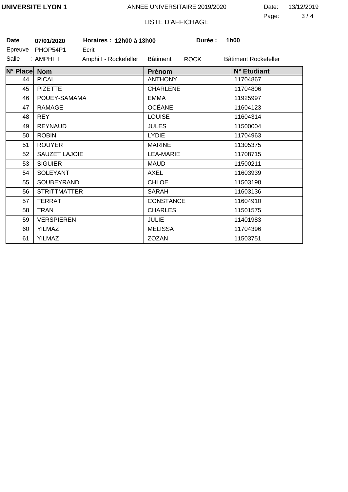#### ANNEE UNIVERSITAIRE 2019/2020

3 4 Page: Date: 13/12/2019

# LISTE D'AFFICHAGE

| <b>Date</b>  | 07/01/2020          | Horaires: 12h00 à 13h00 |                  | Durée : | 1h00     |                      |
|--------------|---------------------|-------------------------|------------------|---------|----------|----------------------|
|              | Epreuve PHOP54P1    | Ecrit                   |                  |         |          |                      |
| Salle        | : AMPHI_I           | Amphi I - Rockefeller   | Bâtiment :       | ROCK    |          | Bâtiment Rockefeller |
| N° Place Nom |                     |                         | Prénom           |         |          | N° Etudiant          |
| 44           | <b>PICAL</b>        |                         | <b>ANTHONY</b>   |         | 11704867 |                      |
| 45           | <b>PIZETTE</b>      |                         | <b>CHARLENE</b>  |         | 11704806 |                      |
| 46           | POUEY-SAMAMA        |                         | <b>EMMA</b>      |         | 11925997 |                      |
| 47           | <b>RAMAGE</b>       |                         | <b>OCÉANE</b>    |         | 11604123 |                      |
| 48           | <b>REY</b>          |                         | <b>LOUISE</b>    |         | 11604314 |                      |
| 49           | <b>REYNAUD</b>      |                         | <b>JULES</b>     |         | 11500004 |                      |
| 50           | <b>ROBIN</b>        |                         | <b>LYDIE</b>     |         | 11704963 |                      |
| 51           | <b>ROUYER</b>       |                         | <b>MARINE</b>    |         | 11305375 |                      |
| 52           | SAUZET LAJOIE       |                         | <b>LEA-MARIE</b> |         | 11708715 |                      |
| 53           | <b>SIGUIER</b>      |                         | <b>MAUD</b>      |         | 11500211 |                      |
| 54           | <b>SOLEYANT</b>     |                         | AXEL             |         | 11603939 |                      |
| 55           | SOUBEYRAND          |                         | <b>CHLOE</b>     |         | 11503198 |                      |
| 56           | <b>STRITTMATTER</b> |                         | <b>SARAH</b>     |         | 11603136 |                      |
| 57           | <b>TERRAT</b>       |                         | CONSTANCE        |         | 11604910 |                      |
| 58           | <b>TRAN</b>         |                         | <b>CHARLES</b>   |         | 11501575 |                      |
| 59           | <b>VERSPIEREN</b>   |                         | <b>JULIE</b>     |         | 11401983 |                      |
| 60           | <b>YILMAZ</b>       |                         | <b>MELISSA</b>   |         | 11704396 |                      |
| 61           | <b>YILMAZ</b>       |                         | <b>ZOZAN</b>     |         | 11503751 |                      |